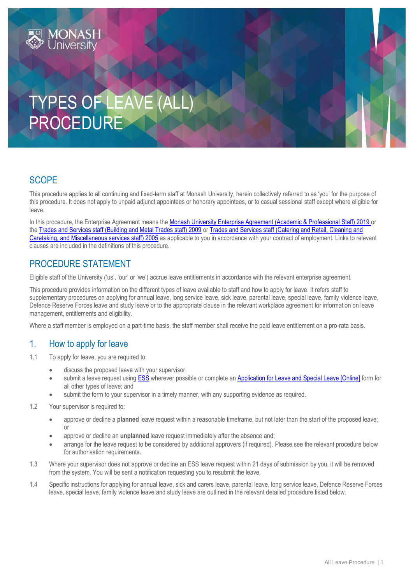# TYPES OF LEAVE (ALL) PROCEDURE

#### **SCOPE**

This procedure applies to all continuing and fixed-term staff at Monash University, herein collectively referred to as 'you' for the purpose of this procedure. It does not apply to unpaid adjunct appointees or honorary appointees, or to casual sessional staff except where eligible for leave.

In this procedure, the Enterprise Agreement means the [Monash University Enterprise Agreement \(Academic & Professional Staff\) 2019](https://www.monash.edu/current-enterprise-agreements/academic-professional-2019) or the [Trades and Services staff \(Building and Metal Trades staff\) 2009](https://www.monash.edu/current-enterprise-agreements/trades-services-bmt-2009) or [Trades and Services staff \(Catering and Retail, Cleaning and](https://www.monash.edu/current-enterprise-agreements/trades-services-crccm-2005)  [Caretaking, and Miscellaneous services staff\) 2005](https://www.monash.edu/current-enterprise-agreements/trades-services-crccm-2005) as applicable to you in accordance with your contract of employment. Links to relevant clauses are included in the definitions of this procedure.

### PROCEDURE STATEMENT

Eligible staff of the University ('us', 'our' or 'we') accrue leave entitlements in accordance with the relevant enterprise agreement.

This procedure provides information on the different types of leave available to staff and how to apply for leave. It refers staff to supplementary procedures on applying for annual leave, long service leave, sick leave, parental leave, special leave, family violence leave, Defence Reserve Forces leave and study leave or to the appropriate clause in the relevant workplace agreement for information on leave management, entitlements and eligibility.

Where a staff member is employed on a part-time basis, the staff member shall receive the paid leave entitlement on a pro-rata basis.

#### 1. How to apply for leave

- 1.1 To apply for leave, you are required to:
	- discuss the proposed leave with your supervisor;
	- submit a leave request using [ESS](https://eservices.monash.edu.au/irj/portal) wherever possible or complete an [Application for Leave and Special Leave \[Online\]](https://www.monash.edu/eforms-resources/frevvo-forms/hr/leave-request) form for all other types of leave; and
	- submit the form to your supervisor in a timely manner, with any supporting evidence as required.
- 1.2 Your supervisor is required to:
	- approve or decline a **planned** leave request within a reasonable timeframe, but not later than the start of the proposed leave;  $\cap$ r
	- approve or decline an **unplanned** leave request immediately after the absence and;
	- arrange for the leave request to be considered by additional approvers (if required). Please see the relevant procedure below for authorisation requirements.
- 1.3 Where your supervisor does not approve or decline an ESS leave request within 21 days of submission by you, it will be removed from the system. You will be sent a notification requesting you to resubmit the leave.
- 1.4 Specific instructions for applying for annual leave, sick and carers leave, parental leave, long service leave, Defence Reserve Forces leave, special leave, family violence leave and study leave are outlined in the relevant detailed procedure listed below.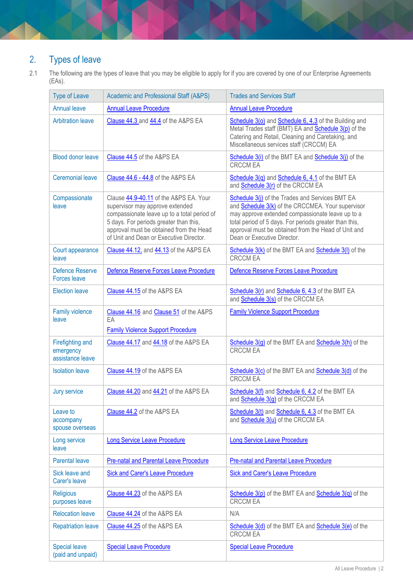# 2. Types of leave

2.1 The following are the types of leave that you may be eligible to apply for if you are covered by one of our Enterprise Agreements (EAs).

| <b>Type of Leave</b>                                     | <b>Academic and Professional Staff (A&amp;PS)</b>                                                                                                                                                                                                        | <b>Trades and Services Staff</b>                                                                                                                                                                                                                                                                         |
|----------------------------------------------------------|----------------------------------------------------------------------------------------------------------------------------------------------------------------------------------------------------------------------------------------------------------|----------------------------------------------------------------------------------------------------------------------------------------------------------------------------------------------------------------------------------------------------------------------------------------------------------|
| <b>Annual leave</b>                                      | <b>Annual Leave Procedure</b>                                                                                                                                                                                                                            | <b>Annual Leave Procedure</b>                                                                                                                                                                                                                                                                            |
| <b>Arbitration leave</b>                                 | Clause 44.3 and 44.4 of the A&PS EA                                                                                                                                                                                                                      | Schedule 3(o) and Schedule 6, 4.3 of the Building and<br>Metal Trades staff (BMT) EA and <b>Schedule 3(p)</b> of the<br>Catering and Retail, Cleaning and Caretaking, and<br>Miscellaneous services staff (CRCCM) EA                                                                                     |
| <b>Blood donor leave</b>                                 | Clause 44.5 of the A&PS EA                                                                                                                                                                                                                               | Schedule 3(i) of the BMT EA and Schedule 3(j) of the<br><b>CRCCM EA</b>                                                                                                                                                                                                                                  |
| <b>Ceremonial leave</b>                                  | Clause 44.6 - 44.8 of the A&PS EA                                                                                                                                                                                                                        | Schedule $3(q)$ and Schedule 6, 4.1 of the BMT EA<br>and Schedule 3(r) of the CRCCM EA                                                                                                                                                                                                                   |
| Compassionate<br>leave                                   | Clause 44.9-40.11 of the A&PS EA. Your<br>supervisor may approve extended<br>compassionate leave up to a total period of<br>5 days. For periods greater than this,<br>approval must be obtained from the Head<br>of Unit and Dean or Executive Director. | Schedule 3(j) of the Trades and Services BMT EA<br>and Schedule 3(k) of the CRCCMEA. Your supervisor<br>may approve extended compassionate leave up to a<br>total period of 5 days. For periods greater than this,<br>approval must be obtained from the Head of Unit and<br>Dean or Executive Director. |
| Court appearance<br>leave                                | Clause 44.12, and 44.13 of the A&PS EA                                                                                                                                                                                                                   | Schedule 3(k) of the BMT EA and Schedule 3(l) of the<br><b>CRCCM EA</b>                                                                                                                                                                                                                                  |
| <b>Defence Reserve</b><br><b>Forces leave</b>            | Defence Reserve Forces Leave Procedure                                                                                                                                                                                                                   | Defence Reserve Forces Leave Procedure                                                                                                                                                                                                                                                                   |
| <b>Election leave</b>                                    | Clause 44.15 of the A&PS EA                                                                                                                                                                                                                              | Schedule 3(r) and Schedule 6, 4.3 of the BMT EA<br>and <b>Schedule 3(s)</b> of the CRCCM EA                                                                                                                                                                                                              |
| <b>Family violence</b><br>leave                          | Clause 44.16 and Clause 51 of the A&PS<br>EA<br><b>Family Violence Support Procedure</b>                                                                                                                                                                 | <b>Family Violence Support Procedure</b>                                                                                                                                                                                                                                                                 |
| <b>Firefighting and</b><br>emergency<br>assistance leave | Clause 44.17 and 44.18 of the A&PS EA                                                                                                                                                                                                                    | Schedule 3(g) of the BMT EA and Schedule 3(h) of the<br><b>CRCCM EA</b>                                                                                                                                                                                                                                  |
| <b>Isolation leave</b>                                   | Clause 44.19 of the A&PS EA                                                                                                                                                                                                                              | Schedule 3(c) of the BMT EA and Schedule 3(d) of the<br><b>CRCCM EA</b>                                                                                                                                                                                                                                  |
| <b>Jury service</b>                                      | Clause 44.20 and 44.21 of the A&PS EA                                                                                                                                                                                                                    | Schedule 3(f) and Schedule 6, 4.2 of the BMT EA<br>and <b>Schedule 3(g)</b> of the CRCCM EA                                                                                                                                                                                                              |
| Leave to<br>accompany<br>spouse overseas                 | Clause 44.2 of the A&PS EA                                                                                                                                                                                                                               | Schedule 3(t) and Schedule 6, 4.3 of the BMT EA<br>and <b>Schedule 3(u)</b> of the CRCCM EA                                                                                                                                                                                                              |
| Long service<br>leave                                    | <b>Long Service Leave Procedure</b>                                                                                                                                                                                                                      | <b>Long Service Leave Procedure</b>                                                                                                                                                                                                                                                                      |
| <b>Parental leave</b>                                    | Pre-natal and Parental Leave Procedure                                                                                                                                                                                                                   | <b>Pre-natal and Parental Leave Procedure</b>                                                                                                                                                                                                                                                            |
| Sick leave and<br>Carer's leave                          | <b>Sick and Carer's Leave Procedure</b>                                                                                                                                                                                                                  | <b>Sick and Carer's Leave Procedure</b>                                                                                                                                                                                                                                                                  |
| <b>Religious</b><br>purposes leave                       | Clause 44.23 of the A&PS EA                                                                                                                                                                                                                              | Schedule $3(p)$ of the BMT EA and Schedule $3(q)$ of the<br><b>CRCCM EA</b>                                                                                                                                                                                                                              |
| <b>Relocation leave</b>                                  | Clause 44.24 of the A&PS EA                                                                                                                                                                                                                              | N/A                                                                                                                                                                                                                                                                                                      |
| <b>Repatriation leave</b>                                | Clause 44.25 of the A&PS EA                                                                                                                                                                                                                              | Schedule 3(d) of the BMT EA and Schedule 3(e) of the<br><b>CRCCM EA</b>                                                                                                                                                                                                                                  |
| <b>Special leave</b><br>(paid and unpaid)                | <b>Special Leave Procedure</b>                                                                                                                                                                                                                           | <b>Special Leave Procedure</b>                                                                                                                                                                                                                                                                           |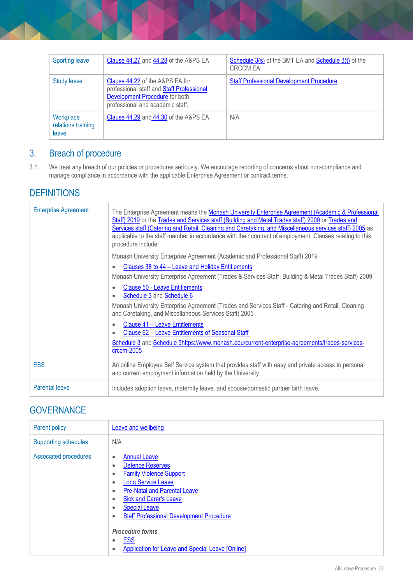| <b>Sporting leave</b>                    | Clause 44.27 and 44.28 of the A&PS EA                                                                                                                                | Schedule 3(s) of the BMT EA and Schedule 3(t) of the<br><b>CRCCM EA</b> |
|------------------------------------------|----------------------------------------------------------------------------------------------------------------------------------------------------------------------|-------------------------------------------------------------------------|
| <b>Study leave</b>                       | <b>Clause 44.22 of the A&amp;PS EA for</b><br>professional staff and Staff Professional<br><b>Development Procedure</b> for both<br>professional and academic staff. | <b>Staff Professional Development Procedure</b>                         |
| Workplace<br>relations training<br>leave | Clause 44.29 and 44.30 of the A&PS EA                                                                                                                                | N/A                                                                     |

# 3. Breach of procedure

3.1 We treat any breach of our policies or procedures seriously. We encourage reporting of concerns about non-compliance and manage compliance in accordance with the applicable Enterprise Agreement or contract terms.

#### **DEFINITIONS**

| <b>Enterprise Agreement</b> | The Enterprise Agreement means the Monash University Enterprise Agreement (Academic & Professional<br>Staff) 2019 or the Trades and Services staff (Building and Metal Trades staff) 2009 or Trades and<br>Services staff (Catering and Retail, Cleaning and Caretaking, and Miscellaneous services staff) 2005 as<br>applicable to the staff member in accordance with their contract of employment. Clauses relating to this<br>procedure include: |  |
|-----------------------------|------------------------------------------------------------------------------------------------------------------------------------------------------------------------------------------------------------------------------------------------------------------------------------------------------------------------------------------------------------------------------------------------------------------------------------------------------|--|
|                             | Monash University Enterprise Agreement (Academic and Professional Staff) 2019                                                                                                                                                                                                                                                                                                                                                                        |  |
|                             | Clauses 38 to 44 – Leave and Holiday Entitlements<br>$\bullet$                                                                                                                                                                                                                                                                                                                                                                                       |  |
|                             | Monash University Enterprise Agreement (Trades & Services Staff- Building & Metal Trades Staff) 2009                                                                                                                                                                                                                                                                                                                                                 |  |
|                             | <b>Clause 50 - Leave Entitlements</b><br>$\bullet$<br>Schedule 3 and Schedule 6                                                                                                                                                                                                                                                                                                                                                                      |  |
|                             | Monash University Enterprise Agreement (Trades and Services Staff - Catering and Retail, Cleaning<br>and Caretaking, and Miscellaneous Services Staff) 2005                                                                                                                                                                                                                                                                                          |  |
|                             | Clause 41 - Leave Entitlements<br>۰<br>Clause 62 - Leave Entitlements of Seasonal Staff                                                                                                                                                                                                                                                                                                                                                              |  |
|                             | Schedule 3 and Schedule 5https://www.monash.edu/current-enterprise-agreements/trades-services-<br>$crccm-2005$                                                                                                                                                                                                                                                                                                                                       |  |
| <b>ESS</b>                  | An online Employee Self Service system that provides staff with easy and private access to personal<br>and current employment information held by the University.                                                                                                                                                                                                                                                                                    |  |
| <b>Parental leave</b>       | Includes adoption leave, maternity leave, and spouse/domestic partner birth leave.                                                                                                                                                                                                                                                                                                                                                                   |  |

## **GOVERNANCE**

| Parent policy                | Leave and wellbeing                                                                                                                                                                                                                                                                                                                                                                                                                                                            |
|------------------------------|--------------------------------------------------------------------------------------------------------------------------------------------------------------------------------------------------------------------------------------------------------------------------------------------------------------------------------------------------------------------------------------------------------------------------------------------------------------------------------|
| <b>Supporting schedules</b>  | N/A                                                                                                                                                                                                                                                                                                                                                                                                                                                                            |
| <b>Associated procedures</b> | <b>Annual Leave</b><br>$\bullet$<br><b>Defence Reserves</b><br>$\bullet$<br><b>Family Violence Support</b><br>$\bullet$<br><b>Long Service Leave</b><br>$\bullet$<br><b>Pre-Natal and Parental Leave</b><br>٠<br><b>Sick and Carer's Leave</b><br>٠<br><b>Special Leave</b><br>$\bullet$<br><b>Staff Professional Development Procedure</b><br>$\bullet$<br><b>Procedure forms</b><br><b>ESS</b><br>$\bullet$<br>Application for Leave and Special Leave [Online]<br>$\bullet$ |